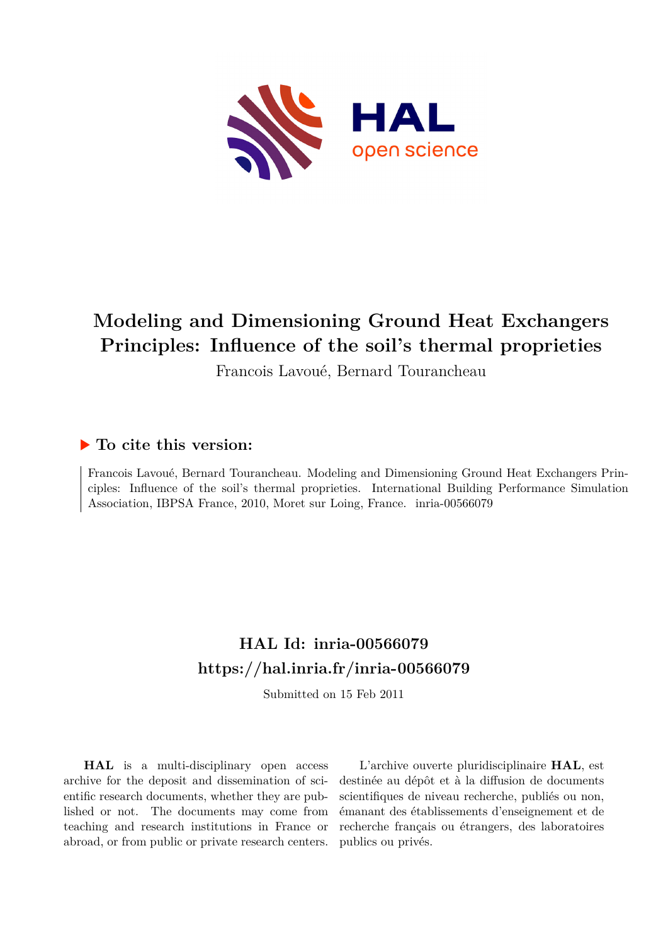

# **Modeling and Dimensioning Ground Heat Exchangers Principles: Influence of the soil's thermal proprieties**

Francois Lavoué, Bernard Tourancheau

# **To cite this version:**

Francois Lavoué, Bernard Tourancheau. Modeling and Dimensioning Ground Heat Exchangers Principles: Influence of the soil's thermal proprieties. International Building Performance Simulation Association, IBPSA France, 2010, Moret sur Loing, France. inria-00566079

# **HAL Id: inria-00566079 <https://hal.inria.fr/inria-00566079>**

Submitted on 15 Feb 2011

**HAL** is a multi-disciplinary open access archive for the deposit and dissemination of scientific research documents, whether they are published or not. The documents may come from teaching and research institutions in France or abroad, or from public or private research centers.

L'archive ouverte pluridisciplinaire **HAL**, est destinée au dépôt et à la diffusion de documents scientifiques de niveau recherche, publiés ou non, émanant des établissements d'enseignement et de recherche français ou étrangers, des laboratoires publics ou privés.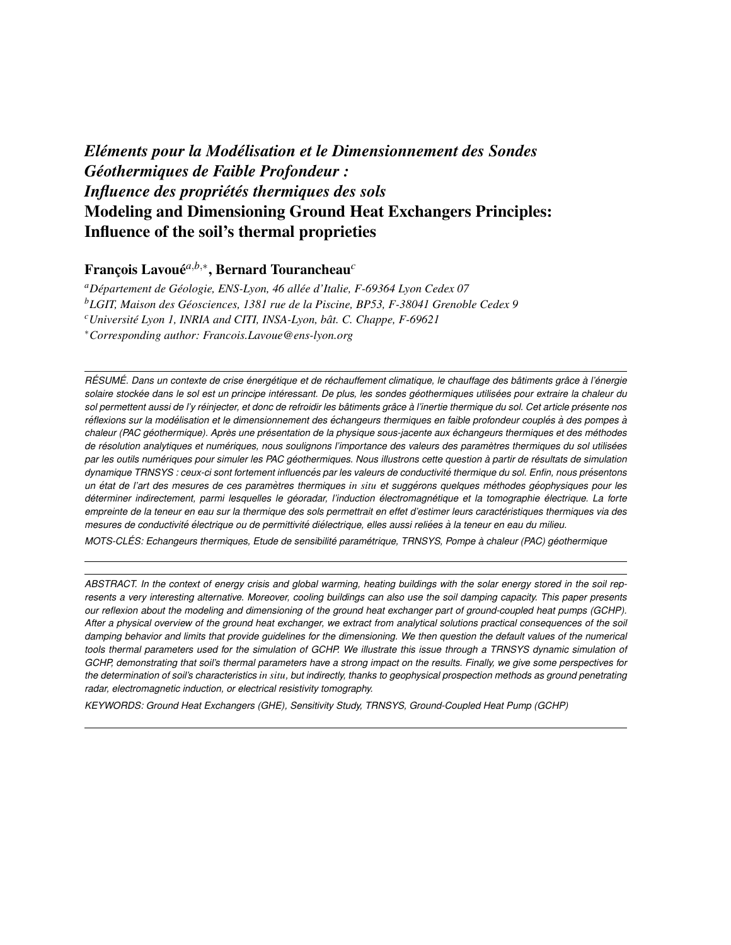# *Eléments pour la Modélisation et le Dimensionnement des Sondes Geothermiques de Faible Profondeur : ´ Influence des propriétés thermiques des sols* Modeling and Dimensioning Ground Heat Exchangers Principles: Influence of the soil's thermal proprieties

# Franc¸ois Lavoue´ *a*,*b*,∗ , Bernard Tourancheau*<sup>c</sup>*

*<sup>a</sup>Departement de G ´ eologie, ENS-Lyon, 46 all ´ ee d'Italie, F-69364 Lyon Cedex 07 ´ <sup>b</sup>LGIT, Maison des Geosciences, 1381 rue de la Piscine, BP53, F-38041 Grenoble Cedex 9 ´ <sup>c</sup>* Université Lyon 1, INRIA and CITI, INSA-Lyon, bât. C. Chappe, F-69621 <sup>∗</sup>*Corresponding author: Francois.Lavoue@ens-lyon.org*

RÉSUMÉ. Dans un contexte de crise énergétique et de réchauffement climatique, le chauffage des bâtiments grâce à l'énergie *solaire stockee dans le sol est un principe int ´ eressant. De plus, les sondes g ´ eothermiques utilis ´ ees pour extraire la chaleur du ´ sol permettent aussi de l'y reinjecter, et donc de refroidir les b ´ atiments gr ˆ ace ˆ a l'inertie thermique du sol. Cet article pr ` esente nos ´ réflexions sur la modélisation et le dimensionnement des échangeurs thermiques en faible profondeur couplés à des pompes à chaleur (PAC geothermique). Apr ´ es une pr ` esentation de la physique sous-jacente aux ´ echangeurs thermiques et des m ´ ethodes ´ de resolution analytiques et num ´ eriques, nous soulignons l'importance des valeurs des param ´ etres thermiques du sol utilis ` ees ´ par les outils numeriques pour simuler les PAC g ´ eothermiques. Nous illustrons cette question ´ a partir de r ` esultats de simulation ´ dynamique TRNSYS : ceux-ci sont fortement influencés par les valeurs de conductivité thermique du sol. Enfin, nous présentons un etat de l'art des mesures de ces param ´ etres thermiques ` in situ et suggerons quelques m ´ ethodes g ´ eophysiques pour les ´ determiner indirectement, parmi lesquelles le g ´ eoradar, l'induction ´ electromagn ´ etique et la tomographie ´ electrique. La forte ´ empreinte de la teneur en eau sur la thermique des sols permettrait en effet d'estimer leurs caracteristiques thermiques via des ´ mesures de conductivite´ electrique ou de permittivit ´ e di ´ electrique, elles aussi reli ´ ees ´ a la teneur en eau du milieu. `*

*MOTS-CLES: Echangeurs thermiques, Etude de sensibilit ´ e param ´ etrique, TRNSYS, Pompe ´ a chaleur (PAC) g ` eothermique ´*

*ABSTRACT. In the context of energy crisis and global warming, heating buildings with the solar energy stored in the soil represents a very interesting alternative. Moreover, cooling buildings can also use the soil damping capacity. This paper presents our reflexion about the modeling and dimensioning of the ground heat exchanger part of ground-coupled heat pumps (GCHP). After a physical overview of the ground heat exchanger, we extract from analytical solutions practical consequences of the soil damping behavior and limits that provide guidelines for the dimensioning. We then question the default values of the numerical tools thermal parameters used for the simulation of GCHP. We illustrate this issue through a TRNSYS dynamic simulation of GCHP, demonstrating that soil's thermal parameters have a strong impact on the results. Finally, we give some perspectives for the determination of soil's characteristics in situ, but indirectly, thanks to geophysical prospection methods as ground penetrating radar, electromagnetic induction, or electrical resistivity tomography.*

*KEYWORDS: Ground Heat Exchangers (GHE), Sensitivity Study, TRNSYS, Ground-Coupled Heat Pump (GCHP)*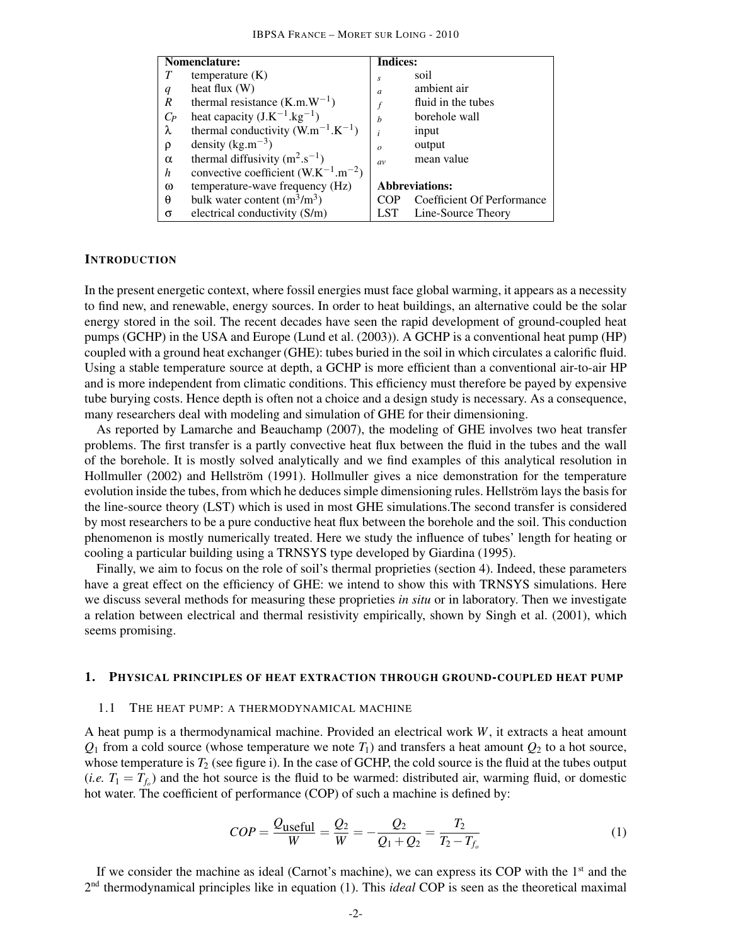| Nomenclature:    |                                            | <b>Indices:</b>  |                            |  |
|------------------|--------------------------------------------|------------------|----------------------------|--|
|                  | temperature $(K)$                          | $\boldsymbol{s}$ | soil                       |  |
| $\boldsymbol{q}$ | heat flux $(W)$                            | $\overline{a}$   | ambient air                |  |
| R                | thermal resistance $(K.m.W^{-1})$          |                  | fluid in the tubes         |  |
| $C_P$            | heat capacity $(J.K^{-1}.kg^{-1})$         | $\boldsymbol{h}$ | borehole wall              |  |
| λ                | thermal conductivity $(W.m^{-1}.K^{-1})$   |                  | input                      |  |
| ρ                | density $(kg.m^{-3})$                      | $\theta$         | output                     |  |
| $\alpha$         | thermal diffusivity $(m^2.s^{-1})$         | av               | mean value                 |  |
| h                | convective coefficient $(W.K^{-1}.m^{-2})$ |                  |                            |  |
| ω                | temperature-wave frequency (Hz)            |                  | <b>Abbreviations:</b>      |  |
| θ                | bulk water content $(m^3/m^3)$             | COP              | Coefficient Of Performance |  |
| σ                | electrical conductivity (S/m)              | LST              | Line-Source Theory         |  |

#### **INTRODUCTION**

In the present energetic context, where fossil energies must face global warming, it appears as a necessity to find new, and renewable, energy sources. In order to heat buildings, an alternative could be the solar energy stored in the soil. The recent decades have seen the rapid development of ground-coupled heat pumps (GCHP) in the USA and Europe (Lund et al. (2003)). A GCHP is a conventional heat pump (HP) coupled with a ground heat exchanger (GHE): tubes buried in the soil in which circulates a calorific fluid. Using a stable temperature source at depth, a GCHP is more efficient than a conventional air-to-air HP and is more independent from climatic conditions. This efficiency must therefore be payed by expensive tube burying costs. Hence depth is often not a choice and a design study is necessary. As a consequence, many researchers deal with modeling and simulation of GHE for their dimensioning.

As reported by Lamarche and Beauchamp (2007), the modeling of GHE involves two heat transfer problems. The first transfer is a partly convective heat flux between the fluid in the tubes and the wall of the borehole. It is mostly solved analytically and we find examples of this analytical resolution in Hollmuller (2002) and Hellström (1991). Hollmuller gives a nice demonstration for the temperature evolution inside the tubes, from which he deduces simple dimensioning rules. Hellström lays the basis for the line-source theory (LST) which is used in most GHE simulations.The second transfer is considered by most researchers to be a pure conductive heat flux between the borehole and the soil. This conduction phenomenon is mostly numerically treated. Here we study the influence of tubes' length for heating or cooling a particular building using a TRNSYS type developed by Giardina (1995).

Finally, we aim to focus on the role of soil's thermal proprieties (section 4). Indeed, these parameters have a great effect on the efficiency of GHE: we intend to show this with TRNSYS simulations. Here we discuss several methods for measuring these proprieties *in situ* or in laboratory. Then we investigate a relation between electrical and thermal resistivity empirically, shown by Singh et al. (2001), which seems promising.

#### 1. PHYSICAL PRINCIPLES OF HEAT EXTRACTION THROUGH GROUND-COUPLED HEAT PUMP

#### 1.1 THE HEAT PUMP: A THERMODYNAMICAL MACHINE

A heat pump is a thermodynamical machine. Provided an electrical work *W*, it extracts a heat amount  $Q_1$  from a cold source (whose temperature we note  $T_1$ ) and transfers a heat amount  $Q_2$  to a hot source, whose temperature is  $T_2$  (see figure i). In the case of GCHP, the cold source is the fluid at the tubes output (*i.e.*  $T_1 = T_{f_o}$ ) and the hot source is the fluid to be warmed: distributed air, warming fluid, or domestic hot water. The coefficient of performance (COP) of such a machine is defined by:

$$
COP = \frac{Q_{\text{useful}}}{W} = \frac{Q_2}{W} = -\frac{Q_2}{Q_1 + Q_2} = \frac{T_2}{T_2 - T_{f_o}}
$$
(1)

If we consider the machine as ideal (Carnot's machine), we can express its COP with the 1<sup>st</sup> and the 2<sup>nd</sup> thermodynamical principles like in equation (1). This *ideal* COP is seen as the theoretical maximal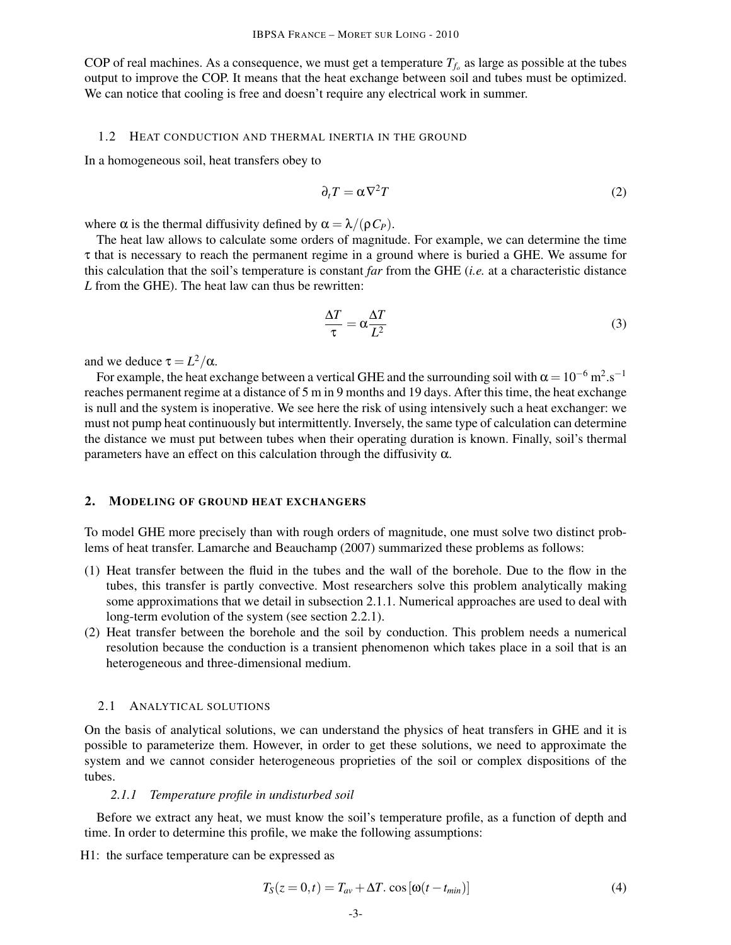COP of real machines. As a consequence, we must get a temperature  $T_{f_o}$  as large as possible at the tubes output to improve the COP. It means that the heat exchange between soil and tubes must be optimized. We can notice that cooling is free and doesn't require any electrical work in summer.

## 1.2 HEAT CONDUCTION AND THERMAL INERTIA IN THE GROUND

In a homogeneous soil, heat transfers obey to

$$
\partial_t T = \alpha \nabla^2 T \tag{2}
$$

where  $\alpha$  is the thermal diffusivity defined by  $\alpha = \lambda/(\rho C_P)$ .

The heat law allows to calculate some orders of magnitude. For example, we can determine the time τ that is necessary to reach the permanent regime in a ground where is buried a GHE. We assume for this calculation that the soil's temperature is constant *far* from the GHE (*i.e.* at a characteristic distance *L* from the GHE). The heat law can thus be rewritten:

$$
\frac{\Delta T}{\tau} = \alpha \frac{\Delta T}{L^2} \tag{3}
$$

and we deduce  $\tau = L^2/\alpha$ .

For example, the heat exchange between a vertical GHE and the surrounding soil with  $\alpha = 10^{-6} \text{ m}^2 \cdot \text{s}^{-1}$ reaches permanent regime at a distance of 5 m in 9 months and 19 days. After this time, the heat exchange is null and the system is inoperative. We see here the risk of using intensively such a heat exchanger: we must not pump heat continuously but intermittently. Inversely, the same type of calculation can determine the distance we must put between tubes when their operating duration is known. Finally, soil's thermal parameters have an effect on this calculation through the diffusivity  $\alpha$ .

## 2. MODELING OF GROUND HEAT EXCHANGERS

To model GHE more precisely than with rough orders of magnitude, one must solve two distinct problems of heat transfer. Lamarche and Beauchamp (2007) summarized these problems as follows:

- (1) Heat transfer between the fluid in the tubes and the wall of the borehole. Due to the flow in the tubes, this transfer is partly convective. Most researchers solve this problem analytically making some approximations that we detail in subsection 2.1.1. Numerical approaches are used to deal with long-term evolution of the system (see section 2.2.1).
- (2) Heat transfer between the borehole and the soil by conduction. This problem needs a numerical resolution because the conduction is a transient phenomenon which takes place in a soil that is an heterogeneous and three-dimensional medium.

#### 2.1 ANALYTICAL SOLUTIONS

On the basis of analytical solutions, we can understand the physics of heat transfers in GHE and it is possible to parameterize them. However, in order to get these solutions, we need to approximate the system and we cannot consider heterogeneous proprieties of the soil or complex dispositions of the tubes.

#### *2.1.1 Temperature profile in undisturbed soil*

Before we extract any heat, we must know the soil's temperature profile, as a function of depth and time. In order to determine this profile, we make the following assumptions:

H1: the surface temperature can be expressed as

$$
T_S(z=0,t) = T_{av} + \Delta T \cdot \cos\left[\omega(t - t_{min})\right]
$$
\n(4)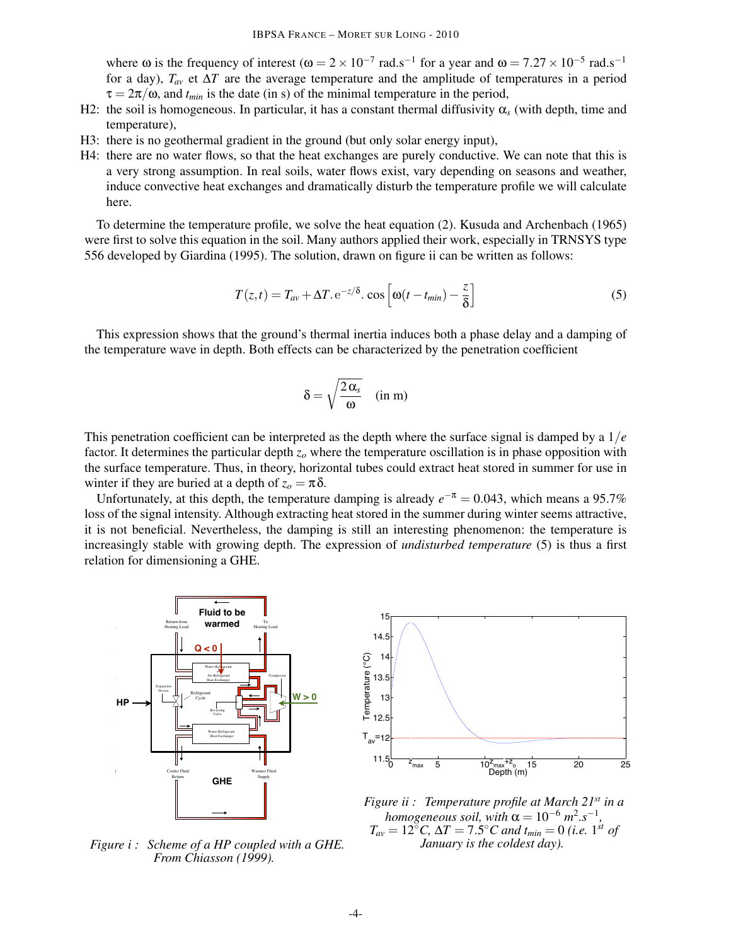where  $\omega$  is the frequency of interest ( $\omega = 2 \times 10^{-7}$  rad.s<sup>-1</sup> for a year and  $\omega = 7.27 \times 10^{-5}$  rad.s<sup>-1</sup> for a day),  $T_{av}$  et  $\Delta T$  are the average temperature and the amplitude of temperatures in a period  $\tau = 2\pi/\omega$ , and  $t_{min}$  is the date (in s) of the minimal temperature in the period,

- H2: the soil is homogeneous. In particular, it has a constant thermal diffusivity  $\alpha_s$  (with depth, time and temperature),
- H3: there is no geothermal gradient in the ground (but only solar energy input),
- H4: there are no water flows, so that the heat exchanges are purely conductive. We can note that this is a very strong assumption. In real soils, water flows exist, vary depending on seasons and weather, induce convective heat exchanges and dramatically disturb the temperature profile we will calculate here.

To determine the temperature profile, we solve the heat equation (2). Kusuda and Archenbach (1965) were first to solve this equation in the soil. Many authors applied their work, especially in TRNSYS type 556 developed by Giardina (1995). The solution, drawn on figure ii can be written as follows:

$$
T(z,t) = T_{av} + \Delta T \cdot e^{-z/\delta} \cdot \cos\left[\omega(t - t_{min}) - \frac{z}{\delta}\right]
$$
 (5)

This expression shows that the ground's thermal inertia induces both a phase delay and a damping of the temperature wave in depth. Both effects can be characterized by the penetration coefficient

$$
\delta = \sqrt{\frac{2\,\alpha_s}{\omega}} \quad (\text{in m})
$$

This penetration coefficient can be interpreted as the depth where the surface signal is damped by a 1/*e* factor. It determines the particular depth  $z<sub>o</sub>$  where the temperature oscillation is in phase opposition with the surface temperature. Thus, in theory, horizontal tubes could extract heat stored in summer for use in winter if they are buried at a depth of  $z_o = \pi \delta$ .

Unfortunately, at this depth, the temperature damping is already  $e^{-\pi} = 0.043$ , which means a 95.7% loss of the signal intensity. Although extracting heat stored in the summer during winter seems attractive, it is not beneficial. Nevertheless, the damping is still an interesting phenomenon: the temperature is increasingly stable with growing depth. The expression of *undisturbed temperature* (5) is thus a first relation for dimensioning a GHE. heat with the reflection of  $\frac{1}{2}$ 



**From Chiasson (1999).** *Figure i : Scheme of a HP coupled with a GHE.*



*Figure ii : Temperature profile at March 21st in a homogeneous soil, with*  $\alpha = 10^{-6}$   $m^2 \cdot s^{-1}$ ,  $T_{av} = 12$ <sup>°°</sup>*C*,  $\Delta T = 7.5$ <sup>°</sup>*C* and  $t_{min} = 0$  (*i.e.* 1<sup>st</sup> of *January is the coldest day).*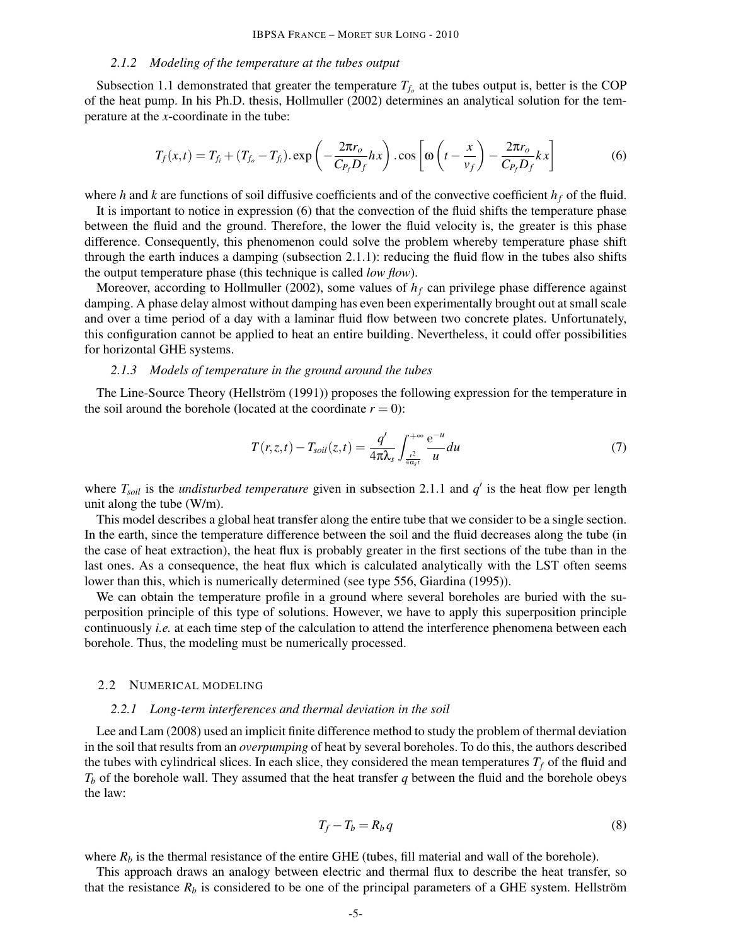#### *2.1.2 Modeling of the temperature at the tubes output*

Subsection 1.1 demonstrated that greater the temperature  $T_{f_0}$  at the tubes output is, better is the COP of the heat pump. In his Ph.D. thesis, Hollmuller (2002) determines an analytical solution for the temperature at the *x*-coordinate in the tube:

$$
T_f(x,t) = T_{f_i} + (T_{f_o} - T_{f_i}). \exp\left(-\frac{2\pi r_o}{C_{P_f}D_f}hx\right). \cos\left[\omega\left(t - \frac{x}{v_f}\right) - \frac{2\pi r_o}{C_{P_f}D_f}kx\right]
$$
(6)

where *h* and *k* are functions of soil diffusive coefficients and of the convective coefficient  $h_f$  of the fluid.

It is important to notice in expression (6) that the convection of the fluid shifts the temperature phase between the fluid and the ground. Therefore, the lower the fluid velocity is, the greater is this phase difference. Consequently, this phenomenon could solve the problem whereby temperature phase shift through the earth induces a damping (subsection 2.1.1): reducing the fluid flow in the tubes also shifts the output temperature phase (this technique is called *low flow*).

Moreover, according to Hollmuller (2002), some values of *h<sup>f</sup>* can privilege phase difference against damping. A phase delay almost without damping has even been experimentally brought out at small scale and over a time period of a day with a laminar fluid flow between two concrete plates. Unfortunately, this configuration cannot be applied to heat an entire building. Nevertheless, it could offer possibilities for horizontal GHE systems.

#### *2.1.3 Models of temperature in the ground around the tubes*

The Line-Source Theory (Hellström (1991)) proposes the following expression for the temperature in the soil around the borehole (located at the coordinate  $r = 0$ ):

$$
T(r,z,t) - T_{soil}(z,t) = \frac{q'}{4\pi\lambda_s} \int_{\frac{r^2}{4\alpha_{st}}}^{+\infty} \frac{e^{-u}}{u} du
$$
\n(7)

where  $T_{\text{solid}}$  is the *undisturbed temperature* given in subsection 2.1.1 and  $q'$  is the heat flow per length unit along the tube (W/m).

This model describes a global heat transfer along the entire tube that we consider to be a single section. In the earth, since the temperature difference between the soil and the fluid decreases along the tube (in the case of heat extraction), the heat flux is probably greater in the first sections of the tube than in the last ones. As a consequence, the heat flux which is calculated analytically with the LST often seems lower than this, which is numerically determined (see type 556, Giardina (1995)).

We can obtain the temperature profile in a ground where several boreholes are buried with the superposition principle of this type of solutions. However, we have to apply this superposition principle continuously *i.e.* at each time step of the calculation to attend the interference phenomena between each borehole. Thus, the modeling must be numerically processed.

#### 2.2 NUMERICAL MODELING

### *2.2.1 Long-term interferences and thermal deviation in the soil*

Lee and Lam (2008) used an implicit finite difference method to study the problem of thermal deviation in the soil that results from an *overpumping* of heat by several boreholes. To do this, the authors described the tubes with cylindrical slices. In each slice, they considered the mean temperatures  $T_f$  of the fluid and  $T_b$  of the borehole wall. They assumed that the heat transfer *q* between the fluid and the borehole obeys the law:

$$
T_f - T_b = R_b q \tag{8}
$$

where  $R_b$  is the thermal resistance of the entire GHE (tubes, fill material and wall of the borehole).

This approach draws an analogy between electric and thermal flux to describe the heat transfer, so that the resistance  $R_b$  is considered to be one of the principal parameters of a GHE system. Hellström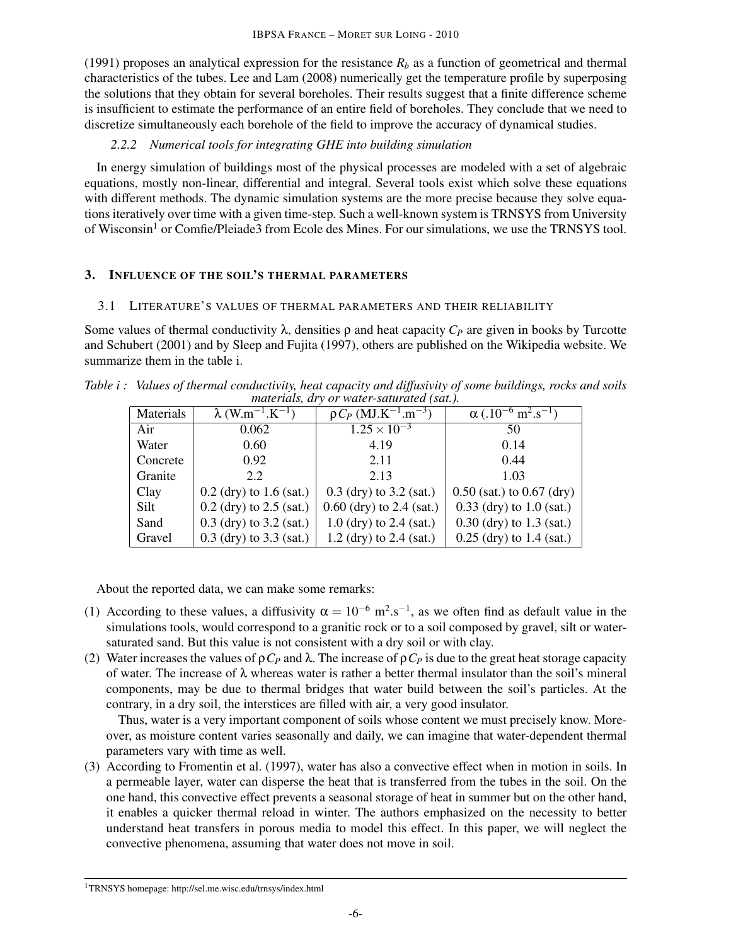(1991) proposes an analytical expression for the resistance  $R_b$  as a function of geometrical and thermal characteristics of the tubes. Lee and Lam (2008) numerically get the temperature profile by superposing the solutions that they obtain for several boreholes. Their results suggest that a finite difference scheme is insufficient to estimate the performance of an entire field of boreholes. They conclude that we need to discretize simultaneously each borehole of the field to improve the accuracy of dynamical studies.

# *2.2.2 Numerical tools for integrating GHE into building simulation*

In energy simulation of buildings most of the physical processes are modeled with a set of algebraic equations, mostly non-linear, differential and integral. Several tools exist which solve these equations with different methods. The dynamic simulation systems are the more precise because they solve equations iteratively over time with a given time-step. Such a well-known system is TRNSYS from University of Wisconsin<sup>1</sup> or Comfie/Pleiade3 from Ecole des Mines. For our simulations, we use the TRNSYS tool.

# 3. INFLUENCE OF THE SOIL'S THERMAL PARAMETERS

# 3.1 LITERATURE'S VALUES OF THERMAL PARAMETERS AND THEIR RELIABILITY

Some values of thermal conductivity  $\lambda$ , densities  $\rho$  and heat capacity  $C_P$  are given in books by Turcotte and Schubert (2001) and by Sleep and Fujita (1997), others are published on the Wikipedia website. We summarize them in the table i.

*Table i : Values of thermal conductivity, heat capacity and diffusivity of some buildings, rocks and soils materials, dry or water-saturated (sat.).*

| Materials | $\lambda$ (W.m <sup>-1</sup> .K <sup>-1</sup> ) | $\overline{\rho C_P (MJ.K^{-1}.m^{-3})}$ | $\alpha$ (.10 <sup>-6</sup> m <sup>2</sup> .s <sup>-1</sup> ) |  |  |  |
|-----------|-------------------------------------------------|------------------------------------------|---------------------------------------------------------------|--|--|--|
| Air       | 0.062                                           | $1.25 \times 10^{-3}$                    | 50                                                            |  |  |  |
| Water     | 0.60                                            | 4.19                                     | 0.14                                                          |  |  |  |
| Concrete  | 0.92                                            | 2.11                                     | 0.44                                                          |  |  |  |
| Granite   | 2.2                                             | 2.13                                     | 1.03                                                          |  |  |  |
| Clay      | $0.2$ (dry) to 1.6 (sat.)                       | $0.3$ (dry) to $3.2$ (sat.)              | $0.50$ (sat.) to $0.67$ (dry)                                 |  |  |  |
| Silt      | $0.2$ (dry) to $2.5$ (sat.)                     | $0.60$ (dry) to 2.4 (sat.)               | $0.33$ (dry) to $1.0$ (sat.)                                  |  |  |  |
| Sand      | $0.3$ (dry) to $3.2$ (sat.)                     | $1.0$ (dry) to $2.4$ (sat.)              | $0.30$ (dry) to 1.3 (sat.)                                    |  |  |  |
| Gravel    | $0.3$ (dry) to $3.3$ (sat.)                     | $1.2$ (dry) to $2.4$ (sat.)              | $0.25$ (dry) to 1.4 (sat.)                                    |  |  |  |

About the reported data, we can make some remarks:

- (1) According to these values, a diffusivity  $\alpha = 10^{-6}$  m<sup>2</sup>.s<sup>-1</sup>, as we often find as default value in the simulations tools, would correspond to a granitic rock or to a soil composed by gravel, silt or watersaturated sand. But this value is not consistent with a dry soil or with clay.
- (2) Water increases the values of  $pC_p$  and  $\lambda$ . The increase of  $pC_p$  is due to the great heat storage capacity of water. The increase of  $\lambda$  whereas water is rather a better thermal insulator than the soil's mineral components, may be due to thermal bridges that water build between the soil's particles. At the contrary, in a dry soil, the interstices are filled with air, a very good insulator.

Thus, water is a very important component of soils whose content we must precisely know. Moreover, as moisture content varies seasonally and daily, we can imagine that water-dependent thermal parameters vary with time as well.

(3) According to Fromentin et al. (1997), water has also a convective effect when in motion in soils. In a permeable layer, water can disperse the heat that is transferred from the tubes in the soil. On the one hand, this convective effect prevents a seasonal storage of heat in summer but on the other hand, it enables a quicker thermal reload in winter. The authors emphasized on the necessity to better understand heat transfers in porous media to model this effect. In this paper, we will neglect the convective phenomena, assuming that water does not move in soil.

<sup>1</sup>TRNSYS homepage: http://sel.me.wisc.edu/trnsys/index.html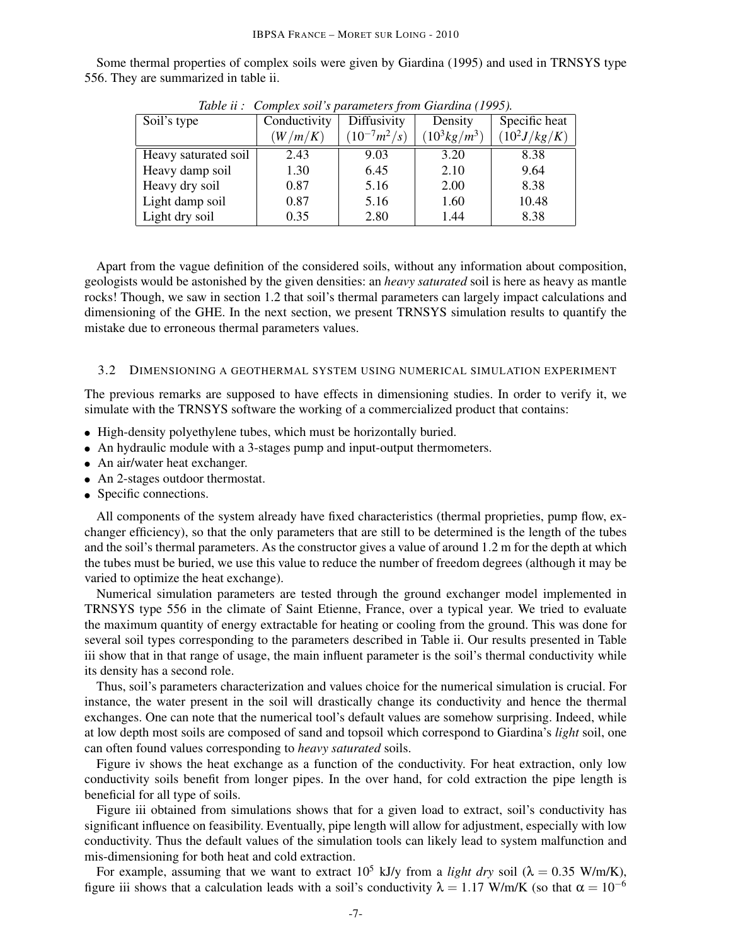Some thermal properties of complex soils were given by Giardina (1995) and used in TRNSYS type 556. They are summarized in table ii.

| Table <i>a</i> . Complex son <i>s</i> parameters from Giarama (1773). |              |                  |                        |                 |  |  |
|-----------------------------------------------------------------------|--------------|------------------|------------------------|-----------------|--|--|
| Soil's type                                                           | Conductivity | Diffusivity      | Density                | Specific heat   |  |  |
|                                                                       | (W/m/K)      | $(10^{-7}m^2/s)$ | $(10^3 \text{kg/m}^3)$ | $(10^2 J/kg/K)$ |  |  |
| Heavy saturated soil                                                  | 2.43         | 9.03             | 3.20                   | 8.38            |  |  |
| Heavy damp soil                                                       | 1.30         | 6.45             | 2.10                   | 9.64            |  |  |
| Heavy dry soil                                                        | 0.87         | 5.16             | 2.00                   | 8.38            |  |  |
| Light damp soil                                                       | 0.87         | 5.16             | 1.60                   | 10.48           |  |  |
| Light dry soil                                                        | 0.35         | 2.80             | 1.44                   | 8.38            |  |  |

*Table ii : Complex soil's parameters from Giardina (1995).*

Apart from the vague definition of the considered soils, without any information about composition, geologists would be astonished by the given densities: an *heavy saturated* soil is here as heavy as mantle rocks! Though, we saw in section 1.2 that soil's thermal parameters can largely impact calculations and dimensioning of the GHE. In the next section, we present TRNSYS simulation results to quantify the mistake due to erroneous thermal parameters values.

## 3.2 DIMENSIONING A GEOTHERMAL SYSTEM USING NUMERICAL SIMULATION EXPERIMENT

The previous remarks are supposed to have effects in dimensioning studies. In order to verify it, we simulate with the TRNSYS software the working of a commercialized product that contains:

- High-density polyethylene tubes, which must be horizontally buried.
- An hydraulic module with a 3-stages pump and input-output thermometers.
- An air/water heat exchanger.
- An 2-stages outdoor thermostat.
- Specific connections.

All components of the system already have fixed characteristics (thermal proprieties, pump flow, exchanger efficiency), so that the only parameters that are still to be determined is the length of the tubes and the soil's thermal parameters. As the constructor gives a value of around 1.2 m for the depth at which the tubes must be buried, we use this value to reduce the number of freedom degrees (although it may be varied to optimize the heat exchange).

Numerical simulation parameters are tested through the ground exchanger model implemented in TRNSYS type 556 in the climate of Saint Etienne, France, over a typical year. We tried to evaluate the maximum quantity of energy extractable for heating or cooling from the ground. This was done for several soil types corresponding to the parameters described in Table ii. Our results presented in Table iii show that in that range of usage, the main influent parameter is the soil's thermal conductivity while its density has a second role.

Thus, soil's parameters characterization and values choice for the numerical simulation is crucial. For instance, the water present in the soil will drastically change its conductivity and hence the thermal exchanges. One can note that the numerical tool's default values are somehow surprising. Indeed, while at low depth most soils are composed of sand and topsoil which correspond to Giardina's *light* soil, one can often found values corresponding to *heavy saturated* soils.

Figure iv shows the heat exchange as a function of the conductivity. For heat extraction, only low conductivity soils benefit from longer pipes. In the over hand, for cold extraction the pipe length is beneficial for all type of soils.

Figure iii obtained from simulations shows that for a given load to extract, soil's conductivity has significant influence on feasibility. Eventually, pipe length will allow for adjustment, especially with low conductivity. Thus the default values of the simulation tools can likely lead to system malfunction and mis-dimensioning for both heat and cold extraction.

For example, assuming that we want to extract  $10^5$  kJ/y from a *light dry* soil ( $\lambda = 0.35$  W/m/K), figure iii shows that a calculation leads with a soil's conductivity  $\lambda = 1.17$  W/m/K (so that  $\alpha = 10^{-6}$ )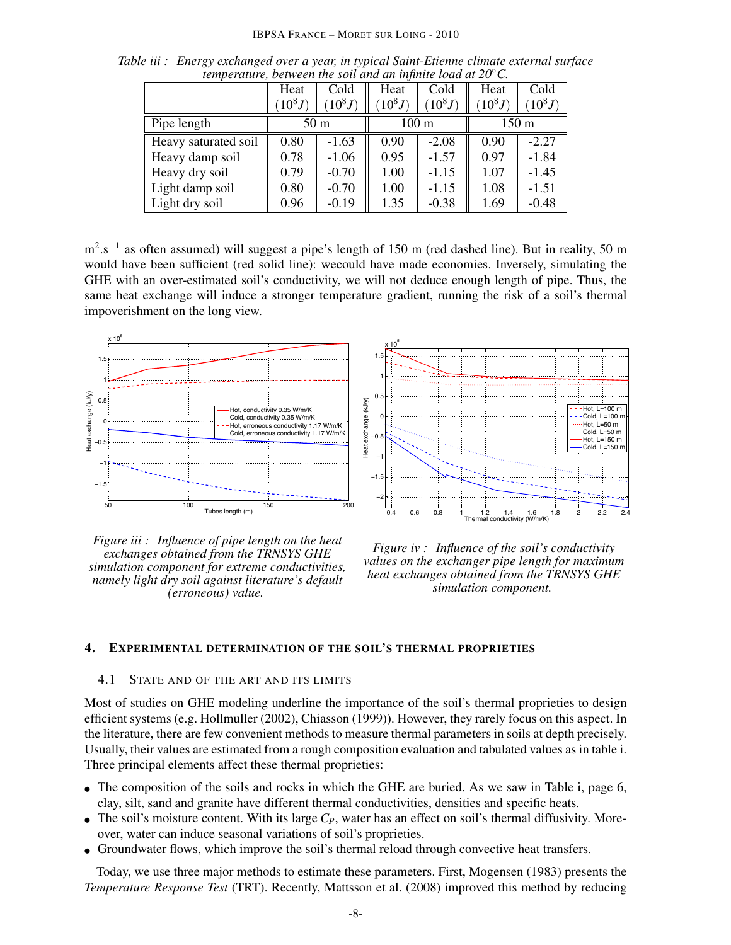#### IBPSA FRANCE – MORET SUR LOING - 2010

|                      | Heat            | Cold     | Heat            | Cold      | Heat            | Cold     |
|----------------------|-----------------|----------|-----------------|-----------|-----------------|----------|
|                      | $(10^8J)$       | $10^8 J$ | $10^8 J$        | $(10^8J)$ | $(10^8J)$       | $10^8 J$ |
| Pipe length          | 50 <sub>m</sub> |          | $100 \text{ m}$ |           | $150 \text{ m}$ |          |
| Heavy saturated soil | 0.80            | $-1.63$  | 0.90            | $-2.08$   | 0.90            | $-2.27$  |
| Heavy damp soil      | 0.78            | $-1.06$  | 0.95            | $-1.57$   | 0.97            | $-1.84$  |
| Heavy dry soil       | 0.79            | $-0.70$  | 1.00            | $-1.15$   | 1.07            | $-1.45$  |
| Light damp soil      | 0.80            | $-0.70$  | 1.00            | $-1.15$   | 1.08            | $-1.51$  |
| Light dry soil       | 0.96            | $-0.19$  | 1.35            | $-0.38$   | 1.69            | $-0.48$  |

*Table iii : Energy exchanged over a year, in typical Saint-Etienne climate external surface temperature, between the soil and an infinite load at 20*◦*C.*

m<sup>2</sup>.s<sup>-1</sup> as often assumed) will suggest a pipe's length of 150 m (red dashed line). But in reality, 50 m would have been sufficient (red solid line): wecould have made economies. Inversely, simulating the GHE with an over-estimated soil's conductivity, we will not deduce enough length of pipe. Thus, the same heat exchange will induce a stronger temperature gradient, running the risk of a soil's thermal impoverishment on the long view.



 $x 10^5$ 1.5 1  $\overline{0}$ exchange (kJ/y) Heat exchange (kJ/y)  $-Hot$ , L=100 m  $Cold, L=100$  m 0 Hot,  $L = 50$  m Cold, L=50 m  $-0.$ Hot,  $L = 150$  m -<br>Teat Cold, L=150 m ï1 ï1.5 ï2 0.4 0.6 0.8 1 1.2 1.4 1.6 1.8 2 2.2 2.4 Thermal conductivity (W/m/K)

*Figure iii : Influence of pipe length on the heat exchanges obtained from the TRNSYS GHE simulation component for extreme conductivities, namely light dry soil against literature's default (erroneous) value.*

*Figure iv : Influence of the soil's conductivity values on the exchanger pipe length for maximum heat exchanges obtained from the TRNSYS GHE simulation component.*

#### 4. EXPERIMENTAL DETERMINATION OF THE SOIL'S THERMAL PROPRIETIES

#### 4.1 STATE AND OF THE ART AND ITS LIMITS

Most of studies on GHE modeling underline the importance of the soil's thermal proprieties to design efficient systems (e.g. Hollmuller (2002), Chiasson (1999)). However, they rarely focus on this aspect. In the literature, there are few convenient methods to measure thermal parameters in soils at depth precisely. Usually, their values are estimated from a rough composition evaluation and tabulated values as in table i. Three principal elements affect these thermal proprieties:

- The composition of the soils and rocks in which the GHE are buried. As we saw in Table i, page 6, clay, silt, sand and granite have different thermal conductivities, densities and specific heats.
- The soil's moisture content. With its large  $C_P$ , water has an effect on soil's thermal diffusivity. Moreover, water can induce seasonal variations of soil's proprieties.
- Groundwater flows, which improve the soil's thermal reload through convective heat transfers.

Today, we use three major methods to estimate these parameters. First, Mogensen (1983) presents the *Temperature Response Test* (TRT). Recently, Mattsson et al. (2008) improved this method by reducing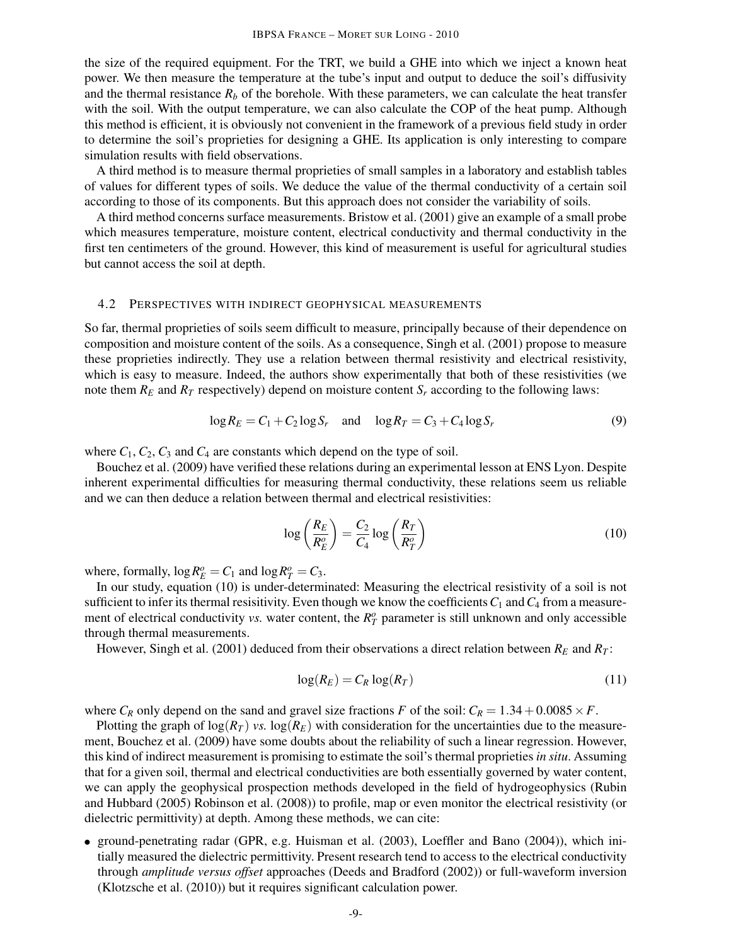the size of the required equipment. For the TRT, we build a GHE into which we inject a known heat power. We then measure the temperature at the tube's input and output to deduce the soil's diffusivity and the thermal resistance  $R_b$  of the borehole. With these parameters, we can calculate the heat transfer with the soil. With the output temperature, we can also calculate the COP of the heat pump. Although this method is efficient, it is obviously not convenient in the framework of a previous field study in order to determine the soil's proprieties for designing a GHE. Its application is only interesting to compare simulation results with field observations.

A third method is to measure thermal proprieties of small samples in a laboratory and establish tables of values for different types of soils. We deduce the value of the thermal conductivity of a certain soil according to those of its components. But this approach does not consider the variability of soils.

A third method concerns surface measurements. Bristow et al. (2001) give an example of a small probe which measures temperature, moisture content, electrical conductivity and thermal conductivity in the first ten centimeters of the ground. However, this kind of measurement is useful for agricultural studies but cannot access the soil at depth.

#### 4.2 PERSPECTIVES WITH INDIRECT GEOPHYSICAL MEASUREMENTS

So far, thermal proprieties of soils seem difficult to measure, principally because of their dependence on composition and moisture content of the soils. As a consequence, Singh et al. (2001) propose to measure these proprieties indirectly. They use a relation between thermal resistivity and electrical resistivity, which is easy to measure. Indeed, the authors show experimentally that both of these resistivities (we note them  $R_E$  and  $R_T$  respectively) depend on moisture content  $S_r$  according to the following laws:

$$
\log R_E = C_1 + C_2 \log S_r \quad \text{and} \quad \log R_T = C_3 + C_4 \log S_r \tag{9}
$$

where  $C_1$ ,  $C_2$ ,  $C_3$  and  $C_4$  are constants which depend on the type of soil.

Bouchez et al. (2009) have verified these relations during an experimental lesson at ENS Lyon. Despite inherent experimental difficulties for measuring thermal conductivity, these relations seem us reliable and we can then deduce a relation between thermal and electrical resistivities:

$$
\log\left(\frac{R_E}{R_E^o}\right) = \frac{C_2}{C_4}\log\left(\frac{R_T}{R_T^o}\right) \tag{10}
$$

where, formally,  $\log R_E^o = C_1$  and  $\log R_T^o = C_3$ .

In our study, equation (10) is under-determinated: Measuring the electrical resistivity of a soil is not sufficient to infer its thermal resisitivity. Even though we know the coefficients  $C_1$  and  $C_4$  from a measurement of electrical conductivity *vs*. water content, the  $R_T^o$  parameter is still unknown and only accessible through thermal measurements.

However, Singh et al. (2001) deduced from their observations a direct relation between  $R_E$  and  $R_T$ :

$$
\log(R_E) = C_R \log(R_T) \tag{11}
$$

where  $C_R$  only depend on the sand and gravel size fractions *F* of the soil:  $C_R = 1.34 + 0.0085 \times F$ .

Plotting the graph of  $\log(R_T)$  *vs.*  $\log(R_E)$  with consideration for the uncertainties due to the measurement, Bouchez et al. (2009) have some doubts about the reliability of such a linear regression. However, this kind of indirect measurement is promising to estimate the soil's thermal proprieties *in situ*. Assuming that for a given soil, thermal and electrical conductivities are both essentially governed by water content, we can apply the geophysical prospection methods developed in the field of hydrogeophysics (Rubin and Hubbard (2005) Robinson et al. (2008)) to profile, map or even monitor the electrical resistivity (or dielectric permittivity) at depth. Among these methods, we can cite:

• ground-penetrating radar (GPR, e.g. Huisman et al. (2003), Loeffler and Bano (2004)), which initially measured the dielectric permittivity. Present research tend to access to the electrical conductivity through *amplitude versus offset* approaches (Deeds and Bradford (2002)) or full-waveform inversion (Klotzsche et al. (2010)) but it requires significant calculation power.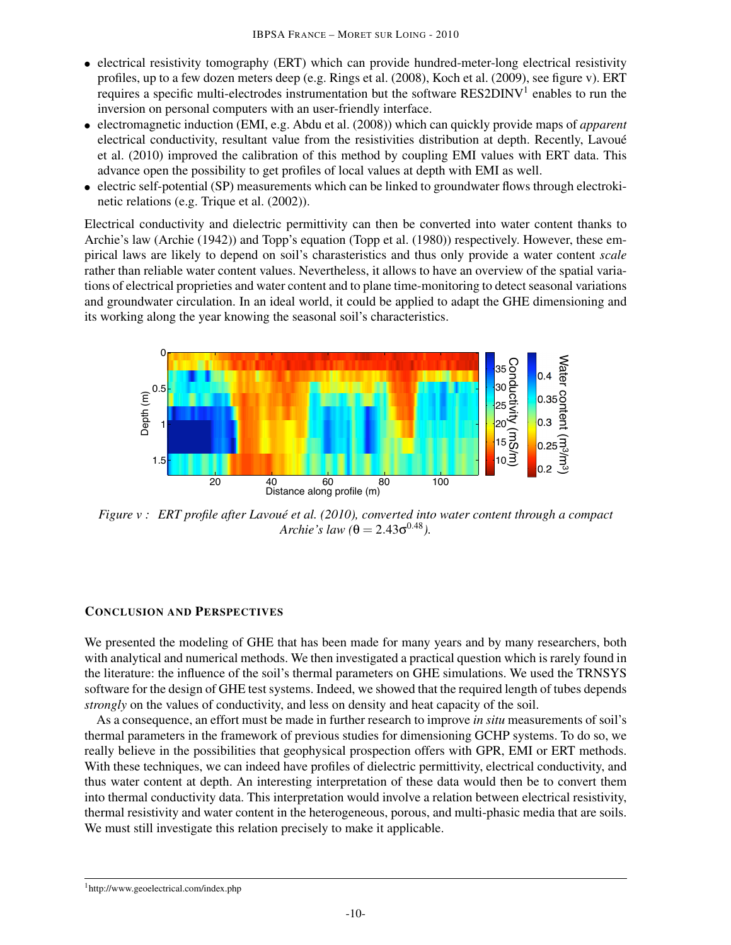- electrical resistivity tomography (ERT) which can provide hundred-meter-long electrical resistivity profiles, up to a few dozen meters deep (e.g. Rings et al. (2008), Koch et al. (2009), see figure v). ERT requires a specific multi-electrodes instrumentation but the software RES2DINV<sup>1</sup> enables to run the inversion on personal computers with an user-friendly interface.
- electromagnetic induction (EMI, e.g. Abdu et al. (2008)) which can quickly provide maps of *apparent* electrical conductivity, resultant value from the resistivities distribution at depth. Recently, Lavoué et al. (2010) improved the calibration of this method by coupling EMI values with ERT data. This advance open the possibility to get profiles of local values at depth with EMI as well.
- electric self-potential (SP) measurements which can be linked to groundwater flows through electrokinetic relations (e.g. Trique et al. (2002)).

Electrical conductivity and dielectric permittivity can then be converted into water content thanks to Archie's law (Archie (1942)) and Topp's equation (Topp et al. (1980)) respectively. However, these empirical laws are likely to depend on soil's charasteristics and thus only provide a water content *scale* rather than reliable water content values. Nevertheless, it allows to have an overview of the spatial variations of electrical proprieties and water content and to plane time-monitoring to detect seasonal variations and groundwater circulation. In an ideal world, it could be applied to adapt the GHE dimensioning and its working along the year knowing the seasonal soil's characteristics.



*Figure v : ERT profile after Lavoue et al. (2010), converted into water content through a compact ´*  $Archie's law ( \theta = 2.43 \sigma^{0.48}).$ 

# CONCLUSION AND PERSPECTIVES

We presented the modeling of GHE that has been made for many years and by many researchers, both with analytical and numerical methods. We then investigated a practical question which is rarely found in the literature: the influence of the soil's thermal parameters on GHE simulations. We used the TRNSYS software for the design of GHE test systems. Indeed, we showed that the required length of tubes depends *strongly* on the values of conductivity, and less on density and heat capacity of the soil.

As a consequence, an effort must be made in further research to improve *in situ* measurements of soil's thermal parameters in the framework of previous studies for dimensioning GCHP systems. To do so, we really believe in the possibilities that geophysical prospection offers with GPR, EMI or ERT methods. With these techniques, we can indeed have profiles of dielectric permittivity, electrical conductivity, and thus water content at depth. An interesting interpretation of these data would then be to convert them into thermal conductivity data. This interpretation would involve a relation between electrical resistivity, thermal resistivity and water content in the heterogeneous, porous, and multi-phasic media that are soils. We must still investigate this relation precisely to make it applicable.

<sup>1</sup>http://www.geoelectrical.com/index.php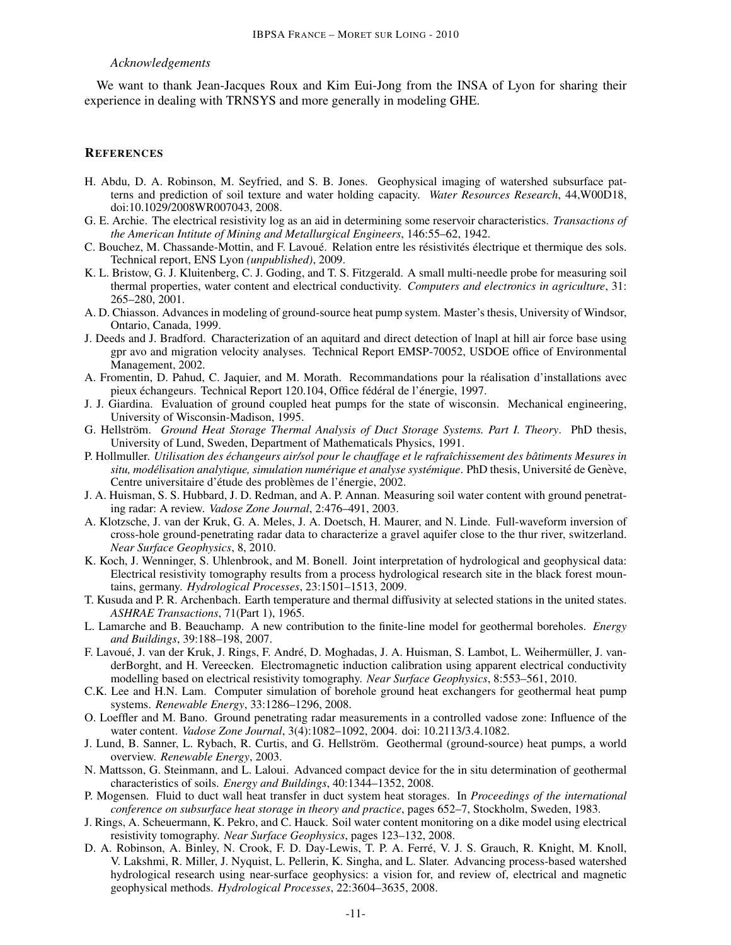#### *Acknowledgements*

We want to thank Jean-Jacques Roux and Kim Eui-Jong from the INSA of Lyon for sharing their experience in dealing with TRNSYS and more generally in modeling GHE.

### **REFERENCES**

- H. Abdu, D. A. Robinson, M. Seyfried, and S. B. Jones. Geophysical imaging of watershed subsurface patterns and prediction of soil texture and water holding capacity. *Water Resources Research*, 44,W00D18, doi:10.1029/2008WR007043, 2008.
- G. E. Archie. The electrical resistivity log as an aid in determining some reservoir characteristics. *Transactions of the American Intitute of Mining and Metallurgical Engineers*, 146:55–62, 1942.
- C. Bouchez, M. Chassande-Mottin, and F. Lavoué. Relation entre les résistivités électrique et thermique des sols. Technical report, ENS Lyon *(unpublished)*, 2009.
- K. L. Bristow, G. J. Kluitenberg, C. J. Goding, and T. S. Fitzgerald. A small multi-needle probe for measuring soil thermal properties, water content and electrical conductivity. *Computers and electronics in agriculture*, 31: 265–280, 2001.
- A. D. Chiasson. Advances in modeling of ground-source heat pump system. Master's thesis, University of Windsor, Ontario, Canada, 1999.
- J. Deeds and J. Bradford. Characterization of an aquitard and direct detection of lnapl at hill air force base using gpr avo and migration velocity analyses. Technical Report EMSP-70052, USDOE office of Environmental Management, 2002.
- A. Fromentin, D. Pahud, C. Jaquier, and M. Morath. Recommandations pour la realisation d'installations avec ´ pieux échangeurs. Technical Report 120.104, Office fédéral de l'énergie, 1997.
- J. J. Giardina. Evaluation of ground coupled heat pumps for the state of wisconsin. Mechanical engineering, University of Wisconsin-Madison, 1995.
- G. Hellström. Ground Heat Storage Thermal Analysis of Duct Storage Systems. Part I. Theory. PhD thesis, University of Lund, Sweden, Department of Mathematicals Physics, 1991.
- P. Hollmuller. *Utilisation des echangeurs air/sol pour le chauffage et le rafra ´ ˆıchissement des batiments Mesures in ˆ situ, modélisation analytique, simulation numérique et analyse systémique. PhD thesis, Université de Genève,* Centre universitaire d'étude des problèmes de l'énergie, 2002.
- J. A. Huisman, S. S. Hubbard, J. D. Redman, and A. P. Annan. Measuring soil water content with ground penetrating radar: A review. *Vadose Zone Journal*, 2:476–491, 2003.
- A. Klotzsche, J. van der Kruk, G. A. Meles, J. A. Doetsch, H. Maurer, and N. Linde. Full-waveform inversion of cross-hole ground-penetrating radar data to characterize a gravel aquifer close to the thur river, switzerland. *Near Surface Geophysics*, 8, 2010.
- K. Koch, J. Wenninger, S. Uhlenbrook, and M. Bonell. Joint interpretation of hydrological and geophysical data: Electrical resistivity tomography results from a process hydrological research site in the black forest mountains, germany. *Hydrological Processes*, 23:1501–1513, 2009.
- T. Kusuda and P. R. Archenbach. Earth temperature and thermal diffusivity at selected stations in the united states. *ASHRAE Transactions*, 71(Part 1), 1965.
- L. Lamarche and B. Beauchamp. A new contribution to the finite-line model for geothermal boreholes. *Energy and Buildings*, 39:188–198, 2007.
- F. Lavoué, J. van der Kruk, J. Rings, F. André, D. Moghadas, J. A. Huisman, S. Lambot, L. Weihermüller, J. vanderBorght, and H. Vereecken. Electromagnetic induction calibration using apparent electrical conductivity modelling based on electrical resistivity tomography. *Near Surface Geophysics*, 8:553–561, 2010.
- C.K. Lee and H.N. Lam. Computer simulation of borehole ground heat exchangers for geothermal heat pump systems. *Renewable Energy*, 33:1286–1296, 2008.
- O. Loeffler and M. Bano. Ground penetrating radar measurements in a controlled vadose zone: Influence of the water content. *Vadose Zone Journal*, 3(4):1082–1092, 2004. doi: 10.2113/3.4.1082.
- J. Lund, B. Sanner, L. Rybach, R. Curtis, and G. Hellström. Geothermal (ground-source) heat pumps, a world overview. *Renewable Energy*, 2003.
- N. Mattsson, G. Steinmann, and L. Laloui. Advanced compact device for the in situ determination of geothermal characteristics of soils. *Energy and Buildings*, 40:1344–1352, 2008.
- P. Mogensen. Fluid to duct wall heat transfer in duct system heat storages. In *Proceedings of the international conference on subsurface heat storage in theory and practice*, pages 652–7, Stockholm, Sweden, 1983.
- J. Rings, A. Scheuermann, K. Pekro, and C. Hauck. Soil water content monitoring on a dike model using electrical resistivity tomography. *Near Surface Geophysics*, pages 123–132, 2008.
- D. A. Robinson, A. Binley, N. Crook, F. D. Day-Lewis, T. P. A. Ferre, V. J. S. Grauch, R. Knight, M. Knoll, ´ V. Lakshmi, R. Miller, J. Nyquist, L. Pellerin, K. Singha, and L. Slater. Advancing process-based watershed hydrological research using near-surface geophysics: a vision for, and review of, electrical and magnetic geophysical methods. *Hydrological Processes*, 22:3604–3635, 2008.